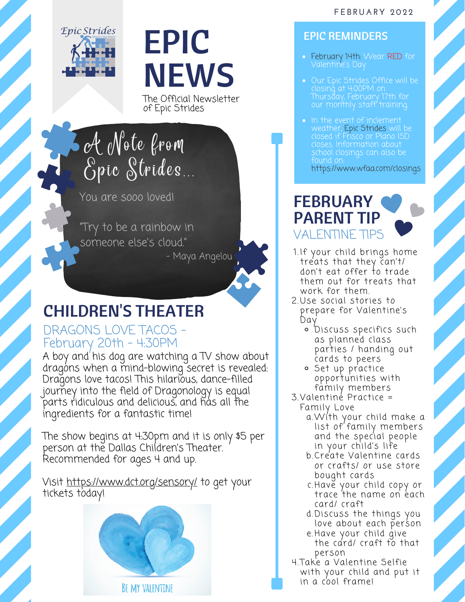

# EPIC **NEWS**

The Official Newsletter of Epic Strides

A Note from Epic Strides

You are sooo loved!

"Try to be a rainbow in someone else's cloud. "

- Maya Angelou

## CHILDREN'S THEATER

#### DRAGONS LOVE TACOS - February 20th - 4:30PM

A boy and his dog are watching a TV show about dragons when a mind-blowing secret is revealed: Dragons love tacos! This hilarious, dance-filled journey into the field of Dragonology is equal parts ridiculous and delicious, and has all the ingredients for a fantastic time!

The show begins at 4:30pm and it is only \$5 per person at the Dallas Children's Theater. Recommended for ages 4 and up.

Visit <https://www.dct.org/sensory/> to get your tickets today!



#### EPIC REMINDERS

- **February 14th:** Wear RED for Valentine's Day
- Our Epic Strides Office will be closing at 4:00PM on Thursday, February 17th for our monthly staff training.
- In the event of inclement weather, Epic Strides will be closed if Frisco or Plano ISD closes. Information about school closings can also be found on: <https://www.wfaa.com/closings>

### **FEBRUARY** PARENT TIP VALENTINE TIPS

- 1.If your child brings home treats that they can't/ don't eat offer to trade them out for treats that work for them.
- 2.Use social stories to prepare for Valentine's Day
	- o Discuss specifics such as planned class parties / handing out cards to peers
	- Set up practice opportunities with family members
- Valentine Practice = 3. Family Love
	- With your child make a a. list of family members and the special people in your child's li fe
	- b.Create Valentine cards or crafts/ or use store bought cards
	- c.Have your child copy or trace the name on each card/ craft
	- d.Discuss the things you love about each person
	- e.Have your child give the card/ craft to that person
- 4.Take a Valentine Selfie with your child and put it in a cool frame!